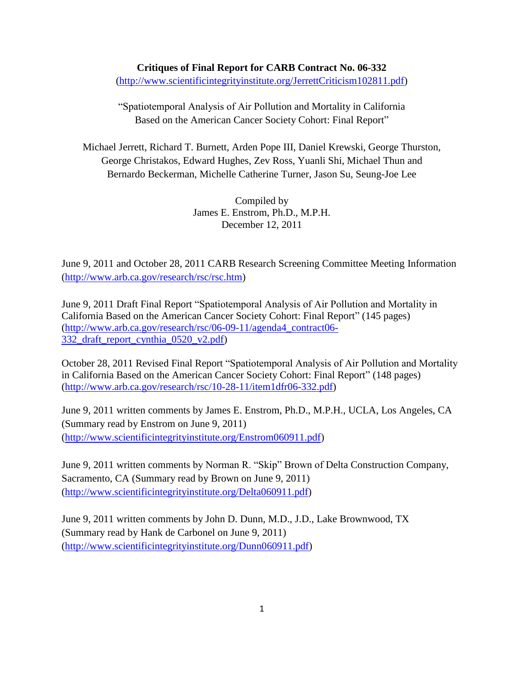## **Critiques of Final Report for CARB Contract No. 06-332**

[\(http://www.scientificintegrityinstitute.org/JerrettCriticism102811.pdf\)](http://www.scientificintegrityinstitute.org/JerrettCriticism102811.pdf)

"Spatiotemporal Analysis of Air Pollution and Mortality in California Based on the American Cancer Society Cohort: Final Report"

Michael Jerrett, Richard T. Burnett, Arden Pope III, Daniel Krewski, George Thurston, George Christakos, Edward Hughes, Zev Ross, Yuanli Shi, Michael Thun and Bernardo Beckerman, Michelle Catherine Turner, Jason Su, Seung-Joe Lee

> Compiled by James E. Enstrom, Ph.D., M.P.H. December 12, 2011

June 9, 2011 and October 28, 2011 CARB Research Screening Committee Meeting Information [\(http://www.arb.ca.gov/research/rsc/rsc.htm\)](http://www.arb.ca.gov/research/rsc/rsc.htm)

June 9, 2011 Draft Final Report "Spatiotemporal Analysis of Air Pollution and Mortality in California Based on the American Cancer Society Cohort: Final Report" (145 pages) [\(http://www.arb.ca.gov/research/rsc/06-09-11/agenda4\\_contract06-](http://www.arb.ca.gov/research/rsc/06-09-11/agenda4_contract06-332_draft_report_cynthia_0520_v2.pdf) [332\\_draft\\_report\\_cynthia\\_0520\\_v2.pdf\)](http://www.arb.ca.gov/research/rsc/06-09-11/agenda4_contract06-332_draft_report_cynthia_0520_v2.pdf)

October 28, 2011 Revised Final Report "Spatiotemporal Analysis of Air Pollution and Mortality in California Based on the American Cancer Society Cohort: Final Report" (148 pages) [\(http://www.arb.ca.gov/research/rsc/10-28-11/item1dfr06-332.pdf\)](http://www.arb.ca.gov/research/rsc/10-28-11/item1dfr06-332.pdf)

June 9, 2011 written comments by James E. Enstrom, Ph.D., M.P.H., UCLA, Los Angeles, CA (Summary read by Enstrom on June 9, 2011) [\(http://www.scientificintegrityinstitute.org/Enstrom060911.pdf\)](http://www.scientificintegrityinstitute.org/Delta060911.pdf)

June 9, 2011 written comments by Norman R. "Skip" Brown of Delta Construction Company, Sacramento, CA (Summary read by Brown on June 9, 2011) [\(http://www.scientificintegrityinstitute.org/Delta060911.pdf\)](http://www.scientificintegrityinstitute.org/Delta060911.pdf)

June 9, 2011 written comments by John D. Dunn, M.D., J.D., Lake Brownwood, TX (Summary read by Hank de Carbonel on June 9, 2011) [\(http://www.scientificintegrityinstitute.org/Dunn060911.pdf\)](http://www.scientificintegrityinstitute.org/Dunn060911.pdf)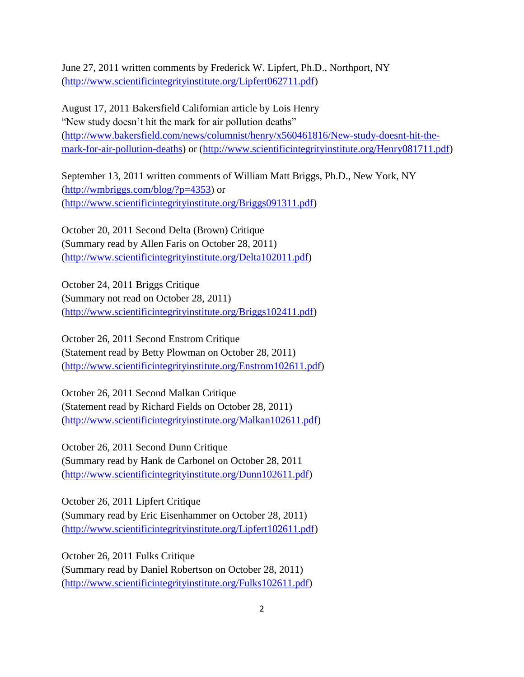June 27, 2011 written comments by Frederick W. Lipfert, Ph.D., Northport, NY [\(http://www.scientificintegrityinstitute.org/Lipfert062711.pdf\)](http://www.scientificintegrityinstitute.org/lipfert062711.pdf)

August 17, 2011 Bakersfield Californian article by Lois Henry "New study doesn't hit the mark for air pollution deaths" [\(http://www.bakersfield.com/news/columnist/henry/x560461816/New-study-doesnt-hit-the](http://www.bakersfield.com/news/columnist/henry/x560461816/New-study-doesnt-hit-the-mark-for-air-pollution-deaths)[mark-for-air-pollution-deaths\)](http://www.bakersfield.com/news/columnist/henry/x560461816/New-study-doesnt-hit-the-mark-for-air-pollution-deaths) or [\(http://www.scientificintegrityinstitute.org/Henry081711.pdf\)](http://www.scientificintegrityinstitute.org/Henry081711.pdf)

September 13, 2011 written comments of William Matt Briggs, Ph.D., New York, NY [\(http://wmbriggs.com/blog/?p=4353\)](http://wmbriggs.com/blog/?p=4353) or [\(http://www.scientificintegrityinstitute.org/Briggs091311.pdf\)](http://www.scientificintegrityinstitute.org/Briggs091311.pdf)

October 20, 2011 Second Delta (Brown) Critique (Summary read by Allen Faris on October 28, 2011) [\(http://www.scientificintegrityinstitute.org/Delta102011.pdf\)](http://www.scientificintegrityinstitute.org/Delta102011.pdf)

October 24, 2011 Briggs Critique (Summary not read on October 28, 2011) [\(http://www.scientificintegrityinstitute.org/Briggs102411.pdf\)](http://www.scientificintegrityinstitute.org/Briggs102411.pdf)

October 26, 2011 Second Enstrom Critique (Statement read by Betty Plowman on October 28, 2011) [\(http://www.scientificintegrityinstitute.org/Enstrom102611.pdf\)](http://www.scientificintegrityinstitute.org/Enstrom102611.pdf)

October 26, 2011 Second Malkan Critique (Statement read by Richard Fields on October 28, 2011) [\(http://www.scientificintegrityinstitute.org/Malkan102611.pdf\)](http://www.scientificintegrityinstitute.org/Malkan102611.pdf)

October 26, 2011 Second Dunn Critique (Summary read by Hank de Carbonel on October 28, 2011 [\(http://www.scientificintegrityinstitute.org/Dunn102611.pdf\)](http://www.scientificintegrityinstitute.org/Dunn102611.pdf)

October 26, 2011 Lipfert Critique (Summary read by Eric Eisenhammer on October 28, 2011) [\(http://www.scientificintegrityinstitute.org/Lipfert102611.pdf\)](http://www.scientificintegrityinstitute.org/Lipfert102611.pdf)

October 26, 2011 Fulks Critique (Summary read by Daniel Robertson on October 28, 2011) [\(http://www.scientificintegrityinstitute.org/Fulks102611.pdf\)](http://www.scientificintegrityinstitute.org/Fulks102611.pdf)